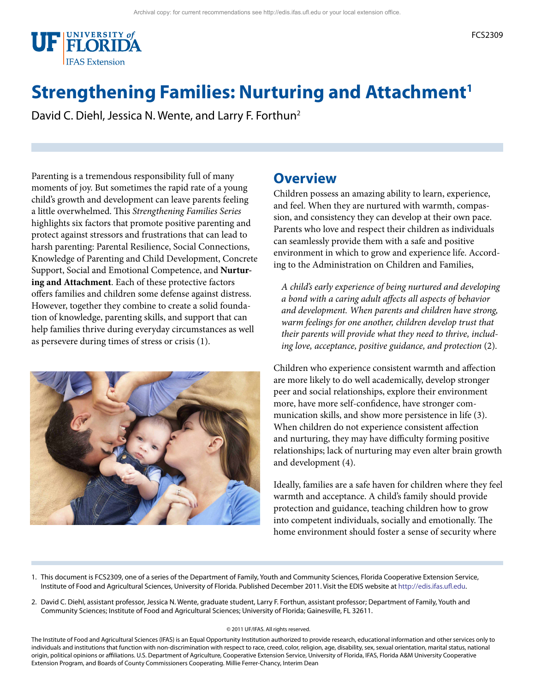

# **Strengthening Families: Nurturing and Attachment<sup>1</sup>**

David C. Diehl, Jessica N. Wente, and Larry F. Forthun<sup>2</sup>

Parenting is a tremendous responsibility full of many moments of joy. But sometimes the rapid rate of a young child's growth and development can leave parents feeling a little overwhelmed. This *Strengthening Families Series* highlights six factors that promote positive parenting and protect against stressors and frustrations that can lead to harsh parenting: Parental Resilience, Social Connections, Knowledge of Parenting and Child Development, Concrete Support, Social and Emotional Competence, and **Nurturing and Attachment**. Each of these protective factors offers families and children some defense against distress. However, together they combine to create a solid foundation of knowledge, parenting skills, and support that can help families thrive during everyday circumstances as well as persevere during times of stress or crisis (1).



#### **Overview**

Children possess an amazing ability to learn, experience, and feel. When they are nurtured with warmth, compassion, and consistency they can develop at their own pace. Parents who love and respect their children as individuals can seamlessly provide them with a safe and positive environment in which to grow and experience life. According to the Administration on Children and Families,

*A child's early experience of being nurtured and developing a bond with a caring adult affects all aspects of behavior and development. When parents and children have strong, warm feelings for one another, children develop trust that their parents will provide what they need to thrive, including love, acceptance, positive guidance, and protection* (2)*.* 

Children who experience consistent warmth and affection are more likely to do well academically, develop stronger peer and social relationships, explore their environment more, have more self-confidence, have stronger communication skills, and show more persistence in life (3). When children do not experience consistent affection and nurturing, they may have difficulty forming positive relationships; lack of nurturing may even alter brain growth and development (4).

Ideally, families are a safe haven for children where they feel warmth and acceptance. A child's family should provide protection and guidance, teaching children how to grow into competent individuals, socially and emotionally. The home environment should foster a sense of security where

- 1. This document is FCS2309, one of a series of the Department of Family, Youth and Community Sciences, Florida Cooperative Extension Service, Institute of Food and Agricultural Sciences, University of Florida. Published December 2011. Visit the EDIS website at [http://edis.ifas.ufl.edu.](http://edis.ifas.ufl.edu)
- 2. David C. Diehl, assistant professor, Jessica N. Wente, graduate student, Larry F. Forthun, assistant professor; Department of Family, Youth and Community Sciences; Institute of Food and Agricultural Sciences; University of Florida; Gainesville, FL 32611.

#### © 2011 UF/IFAS. All rights reserved.

The Institute of Food and Agricultural Sciences (IFAS) is an Equal Opportunity Institution authorized to provide research, educational information and other services only to individuals and institutions that function with non-discrimination with respect to race, creed, color, religion, age, disability, sex, sexual orientation, marital status, national origin, political opinions or affiliations. U.S. Department of Agriculture, Cooperative Extension Service, University of Florida, IFAS, Florida A&M University Cooperative Extension Program, and Boards of County Commissioners Cooperating. Millie Ferrer-Chancy, Interim Dean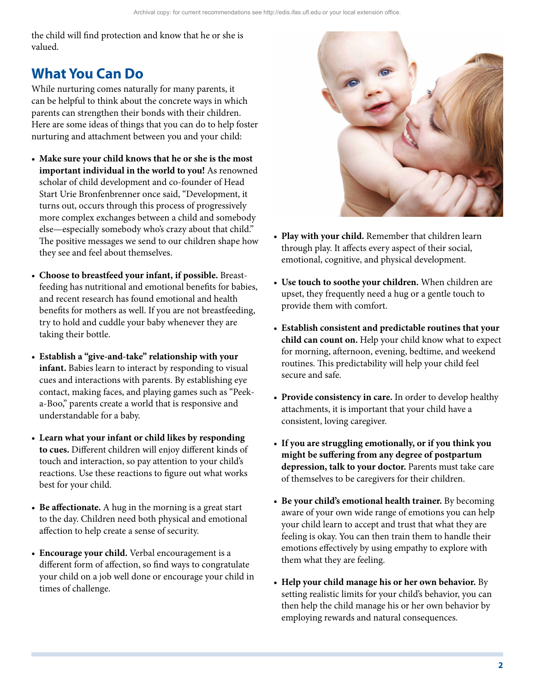the child will find protection and know that he or she is valued.

## **What You Can Do**

While nurturing comes naturally for many parents, it can be helpful to think about the concrete ways in which parents can strengthen their bonds with their children. Here are some ideas of things that you can do to help foster nurturing and attachment between you and your child:

- • **Make sure your child knows that he or she is the most important individual in the world to you!** As renowned scholar of child development and co-founder of Head Start Urie Bronfenbrenner once said, "Development, it turns out, occurs through this process of progressively more complex exchanges between a child and somebody else—especially somebody who's crazy about that child." The positive messages we send to our children shape how they see and feel about themselves.
- • **Choose to breastfeed your infant, if possible.** Breastfeeding has nutritional and emotional benefits for babies, and recent research has found emotional and health benefits for mothers as well. If you are not breastfeeding, try to hold and cuddle your baby whenever they are taking their bottle.
- • **Establish a "give-and-take" relationship with your infant.** Babies learn to interact by responding to visual cues and interactions with parents. By establishing eye contact, making faces, and playing games such as "Peeka-Boo," parents create a world that is responsive and understandable for a baby.
- • **Learn what your infant or child likes by responding to cues.** Different children will enjoy different kinds of touch and interaction, so pay attention to your child's reactions. Use these reactions to figure out what works best for your child.
- • **Be affectionate.** A hug in the morning is a great start to the day. Children need both physical and emotional affection to help create a sense of security.
- • **Encourage your child.** Verbal encouragement is a different form of affection, so find ways to congratulate your child on a job well done or encourage your child in times of challenge.



- • **Play with your child.** Remember that children learn through play. It affects every aspect of their social, emotional, cognitive, and physical development.
- • **Use touch to soothe your children.** When children are upset, they frequently need a hug or a gentle touch to provide them with comfort.
- • **Establish consistent and predictable routines that your child can count on.** Help your child know what to expect for morning, afternoon, evening, bedtime, and weekend routines. This predictability will help your child feel secure and safe.
- Provide consistency in care. In order to develop healthy attachments, it is important that your child have a consistent, loving caregiver.
- • **If you are struggling emotionally, or if you think you might be suffering from any degree of postpartum depression, talk to your doctor.** Parents must take care of themselves to be caregivers for their children.
- • **Be your child's emotional health trainer.** By becoming aware of your own wide range of emotions you can help your child learn to accept and trust that what they are feeling is okay. You can then train them to handle their emotions effectively by using empathy to explore with them what they are feeling.
- • **Help your child manage his or her own behavior.** By setting realistic limits for your child's behavior, you can then help the child manage his or her own behavior by employing rewards and natural consequences.